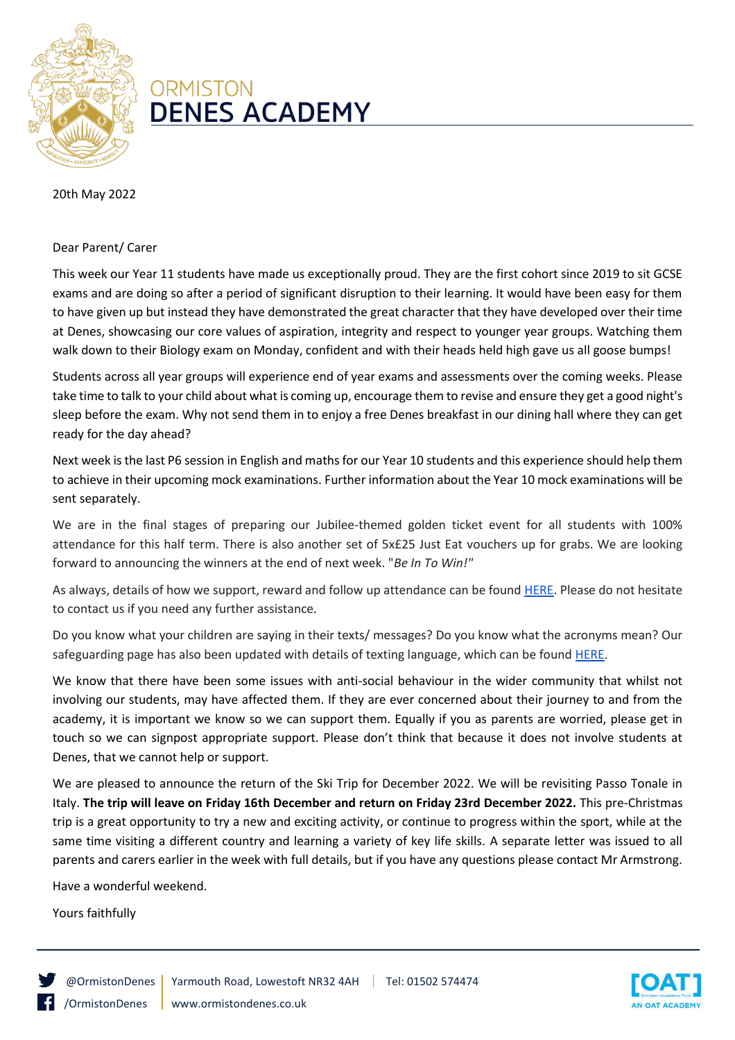

## **ORMISTON DENES ACADEMY**

20th May 2022

## Dear Parent/ Carer

This week our Year 11 students have made us exceptionally proud. They are the first cohort since 2019 to sit GCSE exams and are doing so after a period of significant disruption to their learning. It would have been easy for them to have given up but instead they have demonstrated the great character that they have developed over their time at Denes, showcasing our core values of aspiration, integrity and respect to younger year groups. Watching them walk down to their Biology exam on Monday, confident and with their heads held high gave us all goose bumps!

Students across all year groups will experience end of year exams and assessments over the coming weeks. Please take time to talk to your child about what is coming up, encourage them to revise and ensure they get a good night's sleep before the exam. Why not send them in to enjoy a free Denes breakfast in our dining hall where they can get ready for the day ahead?

Next week is the last P6 session in English and maths for our Year 10 students and this experience should help them to achieve in their upcoming mock examinations. Further information about the Year 10 mock examinations will be sent separately.

We are in the final stages of preparing our Jubilee-themed golden ticket event for all students with 100% attendance for this half term. There is also another set of 5x£25 Just Eat vouchers up for grabs. We are looking forward to announcing the winners at the end of next week. "*Be In To Win!"*

As always, details of how we support, reward and follow up attendance can be foun[d HERE.](http://www.ormistondenes.co.uk/wp-content/uploads/2021/10/Attendance-booklet-2021-2022-September-2021.pdf) Please do not hesitate to contact us if you need any further assistance.

Do you know what your children are saying in their texts/ messages? Do you know what the acronyms mean? Our safeguarding page has also been updated with details of texting language, which can be foun[d HERE.](http://www.ormistondenes.co.uk/wp-content/uploads/2022/05/Text-Slang.png)

We know that there have been some issues with anti-social behaviour in the wider community that whilst not involving our students, may have affected them. If they are ever concerned about their journey to and from the academy, it is important we know so we can support them. Equally if you as parents are worried, please get in touch so we can signpost appropriate support. Please don't think that because it does not involve students at Denes, that we cannot help or support.

We are pleased to announce the return of the Ski Trip for December 2022. We will be revisiting Passo Tonale in Italy. **The trip will leave on Friday 16th December and return on Friday 23rd December 2022.** This pre-Christmas trip is a great opportunity to try a new and exciting activity, or continue to progress within the sport, while at the same time visiting a different country and learning a variety of key life skills. A separate letter was issued to all parents and carers earlier in the week with full details, but if you have any questions please contact Mr Armstrong.

Have a wonderful weekend.

Yours faithfully